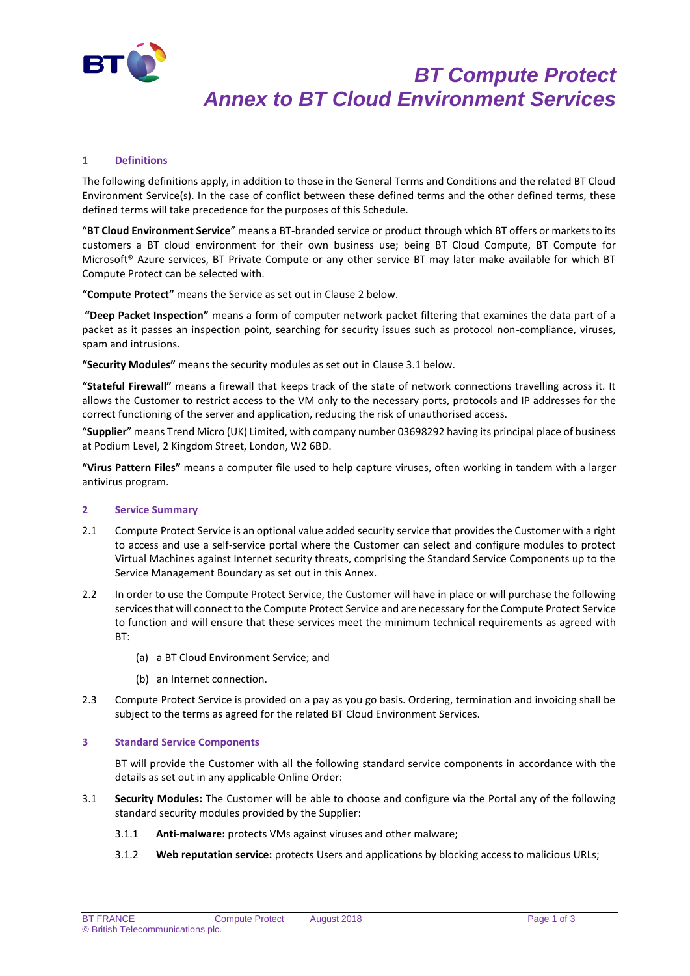

# **1 Definitions**

The following definitions apply, in addition to those in the General Terms and Conditions and the related BT Cloud Environment Service(s). In the case of conflict between these defined terms and the other defined terms, these defined terms will take precedence for the purposes of this Schedule.

"**BT Cloud Environment Service**" means a BT-branded service or product through which BT offers or markets to its customers a BT cloud environment for their own business use; being BT Cloud Compute, BT Compute for Microsoft® Azure services, BT Private Compute or any other service BT may later make available for which BT Compute Protect can be selected with.

**"Compute Protect"** means the Service as set out in Clause 2 below.

**"Deep Packet Inspection"** means a form of computer network packet filtering that examines the data part of a packet as it passes an inspection point, searching for security issues such as protocol non-compliance, viruses, spam and intrusions.

**"Security Modules"** means the security modules as set out in Clause 3.1 below.

**"Stateful Firewall"** means a firewall that keeps track of the state of network connections travelling across it. It allows the Customer to restrict access to the VM only to the necessary ports, protocols and IP addresses for the correct functioning of the server and application, reducing the risk of unauthorised access.

"**Supplier**" means Trend Micro (UK) Limited, with company number 03698292 having its principal place of business at Podium Level, 2 Kingdom Street, London, W2 6BD.

**"Virus Pattern Files"** means a computer file used to help capture viruses, often working in tandem with a larger antivirus program.

#### **2 Service Summary**

- 2.1 Compute Protect Service is an optional value added security service that provides the Customer with a right to access and use a self-service portal where the Customer can select and configure modules to protect Virtual Machines against Internet security threats, comprising the Standard Service Components up to the Service Management Boundary as set out in this Annex.
- 2.2 In order to use the Compute Protect Service, the Customer will have in place or will purchase the following services that will connect to the Compute Protect Service and are necessary for the Compute Protect Service to function and will ensure that these services meet the minimum technical requirements as agreed with BT:
	- (a) a BT Cloud Environment Service; and
	- (b) an Internet connection.
- 2.3 Compute Protect Service is provided on a pay as you go basis. Ordering, termination and invoicing shall be subject to the terms as agreed for the related BT Cloud Environment Services.

### **3 Standard Service Components**

BT will provide the Customer with all the following standard service components in accordance with the details as set out in any applicable Online Order:

- 3.1 **Security Modules:** The Customer will be able to choose and configure via the Portal any of the following standard security modules provided by the Supplier:
	- 3.1.1 **Anti-malware:** protects VMs against viruses and other malware;
	- 3.1.2 **Web reputation service:** protects Users and applications by blocking access to malicious URLs;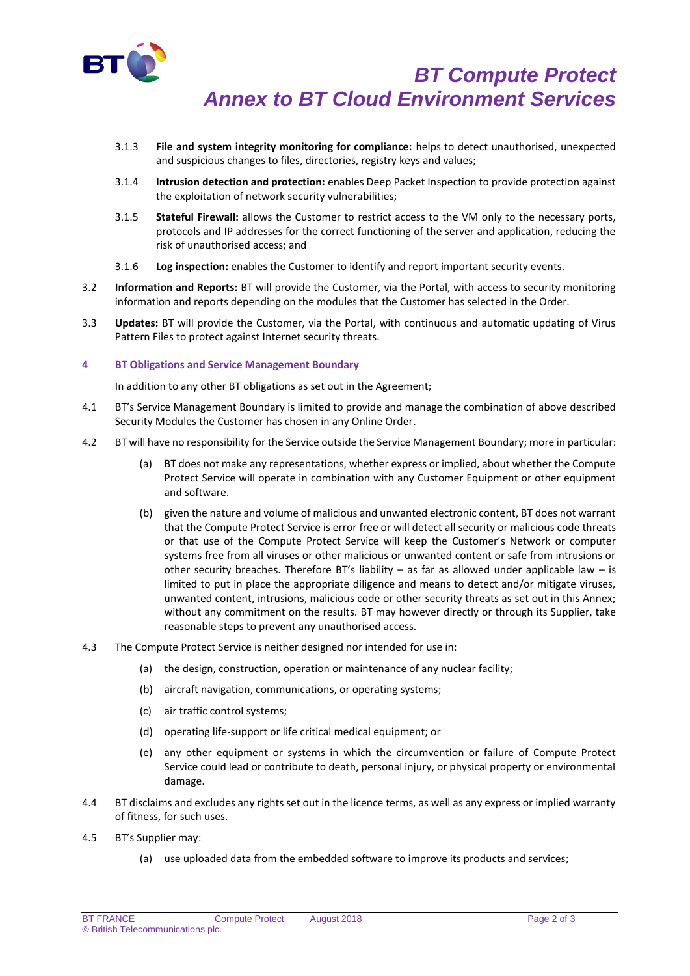

- 3.1.3 **File and system integrity monitoring for compliance:** helps to detect unauthorised, unexpected and suspicious changes to files, directories, registry keys and values;
- 3.1.4 **Intrusion detection and protection:** enables Deep Packet Inspection to provide protection against the exploitation of network security vulnerabilities;
- 3.1.5 **Stateful Firewall:** allows the Customer to restrict access to the VM only to the necessary ports, protocols and IP addresses for the correct functioning of the server and application, reducing the risk of unauthorised access; and
- 3.1.6 **Log inspection:** enables the Customer to identify and report important security events.
- 3.2 **Information and Reports:** BT will provide the Customer, via the Portal, with access to security monitoring information and reports depending on the modules that the Customer has selected in the Order.
- 3.3 **Updates:** BT will provide the Customer, via the Portal, with continuous and automatic updating of Virus Pattern Files to protect against Internet security threats.

## **4 BT Obligations and Service Management Boundary**

In addition to any other BT obligations as set out in the Agreement;

- 4.1 BT's Service Management Boundary is limited to provide and manage the combination of above described Security Modules the Customer has chosen in any Online Order.
- 4.2 BT will have no responsibility for the Service outside the Service Management Boundary; more in particular:
	- (a) BT does not make any representations, whether express or implied, about whether the Compute Protect Service will operate in combination with any Customer Equipment or other equipment and software.
	- (b) given the nature and volume of malicious and unwanted electronic content, BT does not warrant that the Compute Protect Service is error free or will detect all security or malicious code threats or that use of the Compute Protect Service will keep the Customer's Network or computer systems free from all viruses or other malicious or unwanted content or safe from intrusions or other security breaches. Therefore BT's liability – as far as allowed under applicable law – is limited to put in place the appropriate diligence and means to detect and/or mitigate viruses, unwanted content, intrusions, malicious code or other security threats as set out in this Annex; without any commitment on the results. BT may however directly or through its Supplier, take reasonable steps to prevent any unauthorised access.
- 4.3 The Compute Protect Service is neither designed nor intended for use in:
	- (a) the design, construction, operation or maintenance of any nuclear facility;
	- (b) aircraft navigation, communications, or operating systems;
	- (c) air traffic control systems;
	- (d) operating life-support or life critical medical equipment; or
	- (e) any other equipment or systems in which the circumvention or failure of Compute Protect Service could lead or contribute to death, personal injury, or physical property or environmental damage.
- 4.4 BT disclaims and excludes any rights set out in the licence terms, as well as any express or implied warranty of fitness, for such uses.
- 4.5 BT's Supplier may:
	- (a) use uploaded data from the embedded software to improve its products and services;